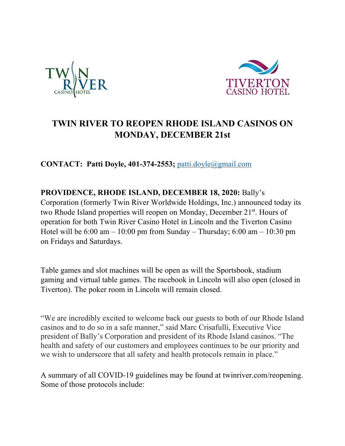



## **TWIN RIVER TO REOPEN RHODE ISLAND CASINOS ON MONDAY, DECEMBER 21st**

**CONTACT: Patti Doyle, 401-374-2553;** patti.doyle@gmail.com

**PROVIDENCE, RHODE ISLAND, DECEMBER 18, 2020:** Bally's Corporation (formerly Twin River Worldwide Holdings, Inc.) announced today its two Rhode Island properties will reopen on Monday, December 21<sup>st</sup>. Hours of operation for both Twin River Casino Hotel in Lincoln and the Tiverton Casino Hotel will be  $6:00 \text{ am} - 10:00 \text{ pm}$  from Sunday – Thursday;  $6:00 \text{ am} - 10:30 \text{ pm}$ on Fridays and Saturdays.

Table games and slot machines will be open as will the Sportsbook, stadium gaming and virtual table games. The racebook in Lincoln will also open (closed in Tiverton). The poker room in Lincoln will remain closed.

"We are incredibly excited to welcome back our guests to both of our Rhode Island casinos and to do so in a safe manner," said Marc Crisafulli, Executive Vice president of Bally's Corporation and president of its Rhode Island casinos. "The health and safety of our customers and employees continues to be our priority and we wish to underscore that all safety and health protocols remain in place."

A summary of all COVID-19 guidelines may be found at twinriver.com/reopening. Some of those protocols include: